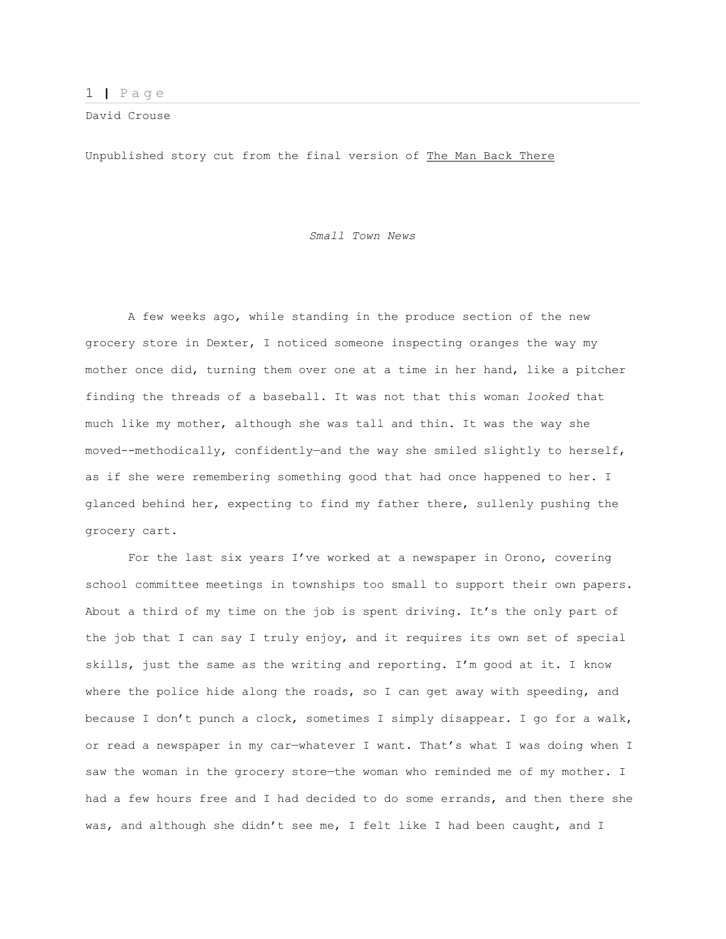David Crouse

Unpublished story cut from the final version of The Man Back There

*Small Town News*

A few weeks ago, while standing in the produce section of the new grocery store in Dexter, I noticed someone inspecting oranges the way my mother once did, turning them over one at a time in her hand, like a pitcher finding the threads of a baseball. It was not that this woman *looked* that much like my mother, although she was tall and thin. It was the way she moved--methodically, confidently—and the way she smiled slightly to herself, as if she were remembering something good that had once happened to her. I glanced behind her, expecting to find my father there, sullenly pushing the grocery cart.

For the last six years I've worked at a newspaper in Orono, covering school committee meetings in townships too small to support their own papers. About a third of my time on the job is spent driving. It's the only part of the job that I can say I truly enjoy, and it requires its own set of special skills, just the same as the writing and reporting. I'm good at it. I know where the police hide along the roads, so I can get away with speeding, and because I don't punch a clock, sometimes I simply disappear. I go for a walk, or read a newspaper in my car—whatever I want. That's what I was doing when I saw the woman in the grocery store—the woman who reminded me of my mother. I had a few hours free and I had decided to do some errands, and then there she was, and although she didn't see me, I felt like I had been caught, and I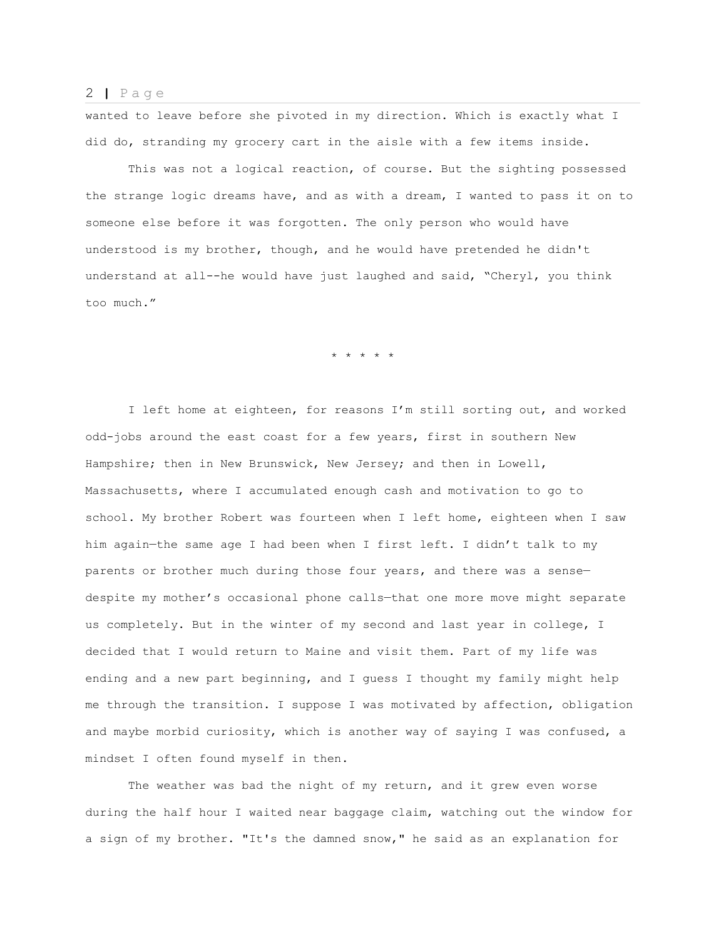wanted to leave before she pivoted in my direction. Which is exactly what I did do, stranding my grocery cart in the aisle with a few items inside.

This was not a logical reaction, of course. But the sighting possessed the strange logic dreams have, and as with a dream, I wanted to pass it on to someone else before it was forgotten. The only person who would have understood is my brother, though, and he would have pretended he didn't understand at all--he would have just laughed and said, "Cheryl, you think too much."

\* \* \* \* \*

I left home at eighteen, for reasons I'm still sorting out, and worked odd-jobs around the east coast for a few years, first in southern New Hampshire; then in New Brunswick, New Jersey; and then in Lowell, Massachusetts, where I accumulated enough cash and motivation to go to school. My brother Robert was fourteen when I left home, eighteen when I saw him again—the same age I had been when I first left. I didn't talk to my parents or brother much during those four years, and there was a sense despite my mother's occasional phone calls—that one more move might separate us completely. But in the winter of my second and last year in college, I decided that I would return to Maine and visit them. Part of my life was ending and a new part beginning, and I guess I thought my family might help me through the transition. I suppose I was motivated by affection, obligation and maybe morbid curiosity, which is another way of saying I was confused, a mindset I often found myself in then.

The weather was bad the night of my return, and it grew even worse during the half hour I waited near baggage claim, watching out the window for a sign of my brother. "It's the damned snow," he said as an explanation for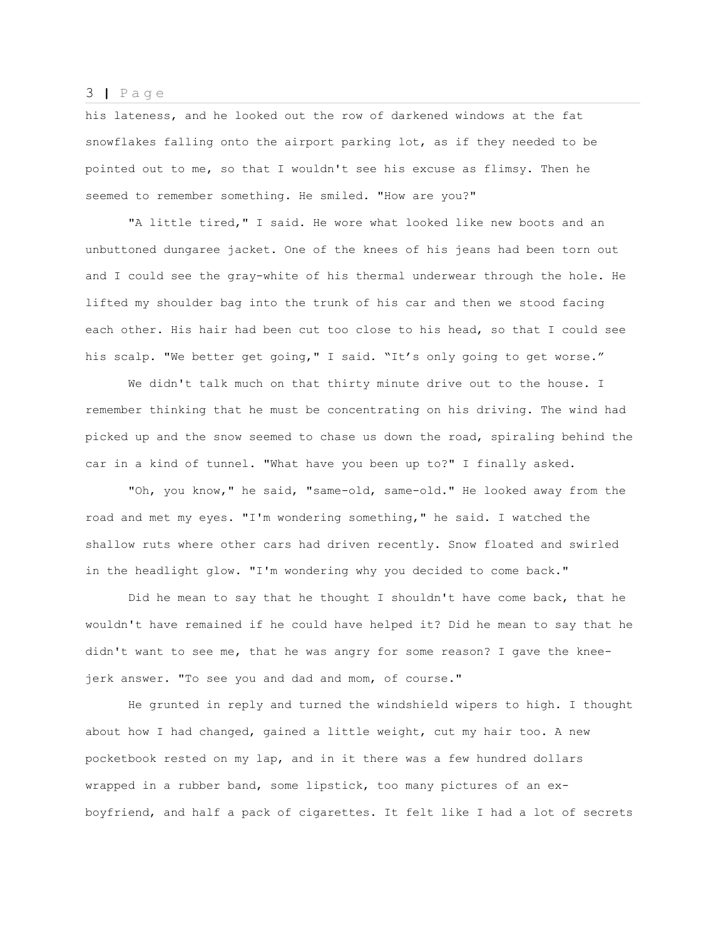his lateness, and he looked out the row of darkened windows at the fat snowflakes falling onto the airport parking lot, as if they needed to be pointed out to me, so that I wouldn't see his excuse as flimsy. Then he seemed to remember something. He smiled. "How are you?"

"A little tired," I said. He wore what looked like new boots and an unbuttoned dungaree jacket. One of the knees of his jeans had been torn out and I could see the gray-white of his thermal underwear through the hole. He lifted my shoulder bag into the trunk of his car and then we stood facing each other. His hair had been cut too close to his head, so that I could see his scalp. "We better get going," I said. "It's only going to get worse."

We didn't talk much on that thirty minute drive out to the house. I remember thinking that he must be concentrating on his driving. The wind had picked up and the snow seemed to chase us down the road, spiraling behind the car in a kind of tunnel. "What have you been up to?" I finally asked.

"Oh, you know," he said, "same-old, same-old." He looked away from the road and met my eyes. "I'm wondering something," he said. I watched the shallow ruts where other cars had driven recently. Snow floated and swirled in the headlight glow. "I'm wondering why you decided to come back."

Did he mean to say that he thought I shouldn't have come back, that he wouldn't have remained if he could have helped it? Did he mean to say that he didn't want to see me, that he was angry for some reason? I gave the kneejerk answer. "To see you and dad and mom, of course."

He grunted in reply and turned the windshield wipers to high. I thought about how I had changed, gained a little weight, cut my hair too. A new pocketbook rested on my lap, and in it there was a few hundred dollars wrapped in a rubber band, some lipstick, too many pictures of an exboyfriend, and half a pack of cigarettes. It felt like I had a lot of secrets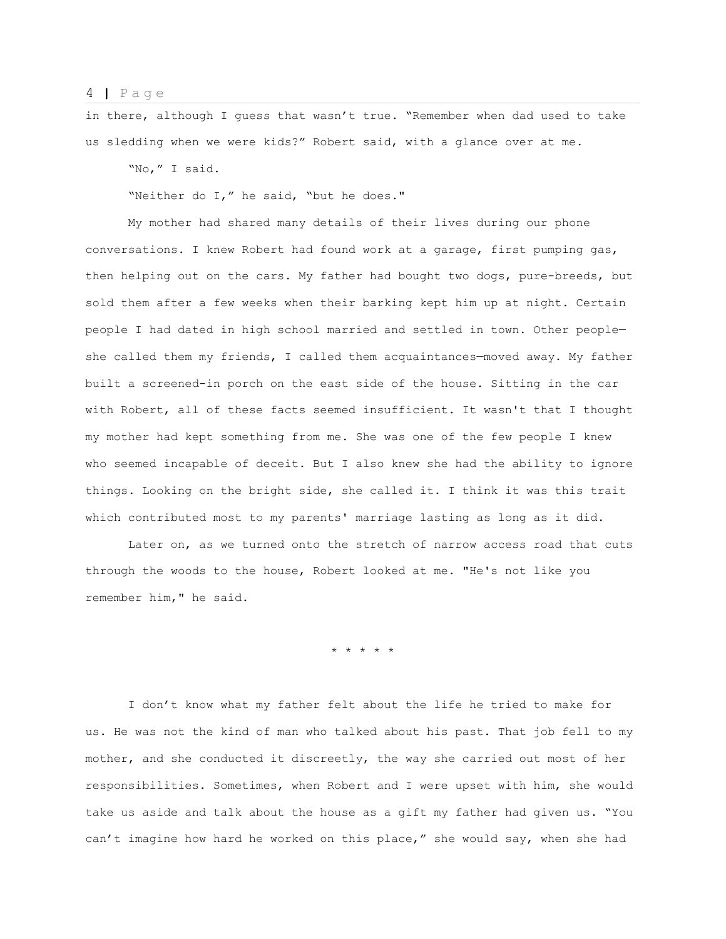in there, although I guess that wasn't true. "Remember when dad used to take us sledding when we were kids?" Robert said, with a glance over at me.

"No," I said.

"Neither do I," he said, "but he does."

My mother had shared many details of their lives during our phone conversations. I knew Robert had found work at a garage, first pumping gas, then helping out on the cars. My father had bought two dogs, pure-breeds, but sold them after a few weeks when their barking kept him up at night. Certain people I had dated in high school married and settled in town. Other people she called them my friends, I called them acquaintances-moved away. My father built a screened-in porch on the east side of the house. Sitting in the car with Robert, all of these facts seemed insufficient. It wasn't that I thought my mother had kept something from me. She was one of the few people I knew who seemed incapable of deceit. But I also knew she had the ability to ignore things. Looking on the bright side, she called it. I think it was this trait which contributed most to my parents' marriage lasting as long as it did.

Later on, as we turned onto the stretch of narrow access road that cuts through the woods to the house, Robert looked at me. "He's not like you remember him," he said.

\* \* \* \* \*

I don't know what my father felt about the life he tried to make for us. He was not the kind of man who talked about his past. That job fell to my mother, and she conducted it discreetly, the way she carried out most of her responsibilities. Sometimes, when Robert and I were upset with him, she would take us aside and talk about the house as a gift my father had given us. "You can't imagine how hard he worked on this place," she would say, when she had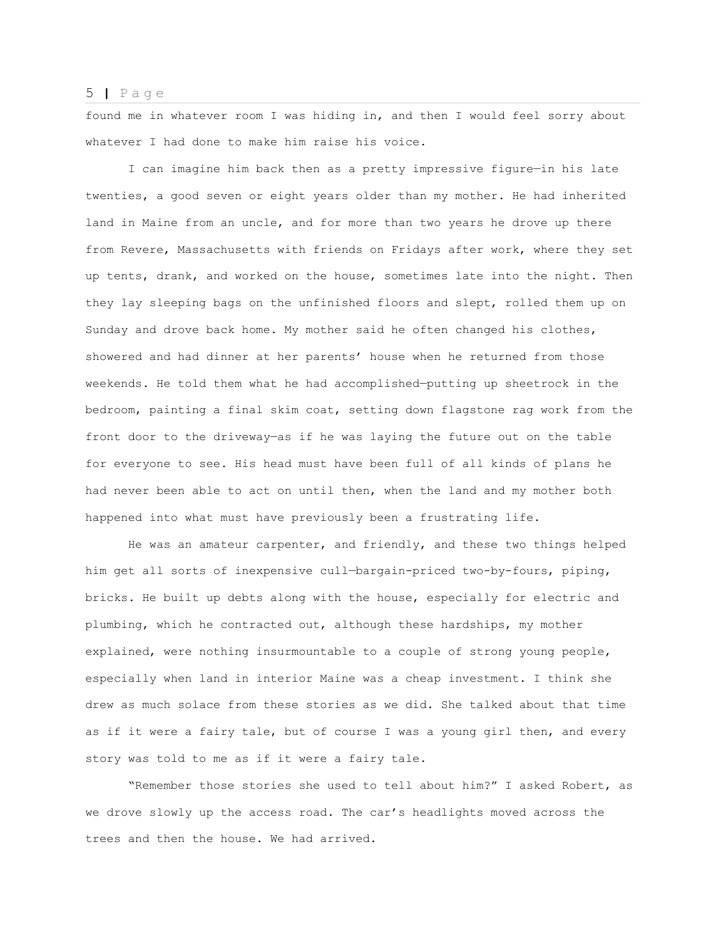found me in whatever room I was hiding in, and then I would feel sorry about whatever I had done to make him raise his voice.

I can imagine him back then as a pretty impressive figure—in his late twenties, a good seven or eight years older than my mother. He had inherited land in Maine from an uncle, and for more than two years he drove up there from Revere, Massachusetts with friends on Fridays after work, where they set up tents, drank, and worked on the house, sometimes late into the night. Then they lay sleeping bags on the unfinished floors and slept, rolled them up on Sunday and drove back home. My mother said he often changed his clothes, showered and had dinner at her parents' house when he returned from those weekends. He told them what he had accomplished—putting up sheetrock in the bedroom, painting a final skim coat, setting down flagstone rag work from the front door to the driveway—as if he was laying the future out on the table for everyone to see. His head must have been full of all kinds of plans he had never been able to act on until then, when the land and my mother both happened into what must have previously been a frustrating life.

He was an amateur carpenter, and friendly, and these two things helped him get all sorts of inexpensive cull—bargain-priced two-by-fours, piping, bricks. He built up debts along with the house, especially for electric and plumbing, which he contracted out, although these hardships, my mother explained, were nothing insurmountable to a couple of strong young people, especially when land in interior Maine was a cheap investment. I think she drew as much solace from these stories as we did. She talked about that time as if it were a fairy tale, but of course I was a young girl then, and every story was told to me as if it were a fairy tale.

"Remember those stories she used to tell about him?" I asked Robert, as we drove slowly up the access road. The car's headlights moved across the trees and then the house. We had arrived.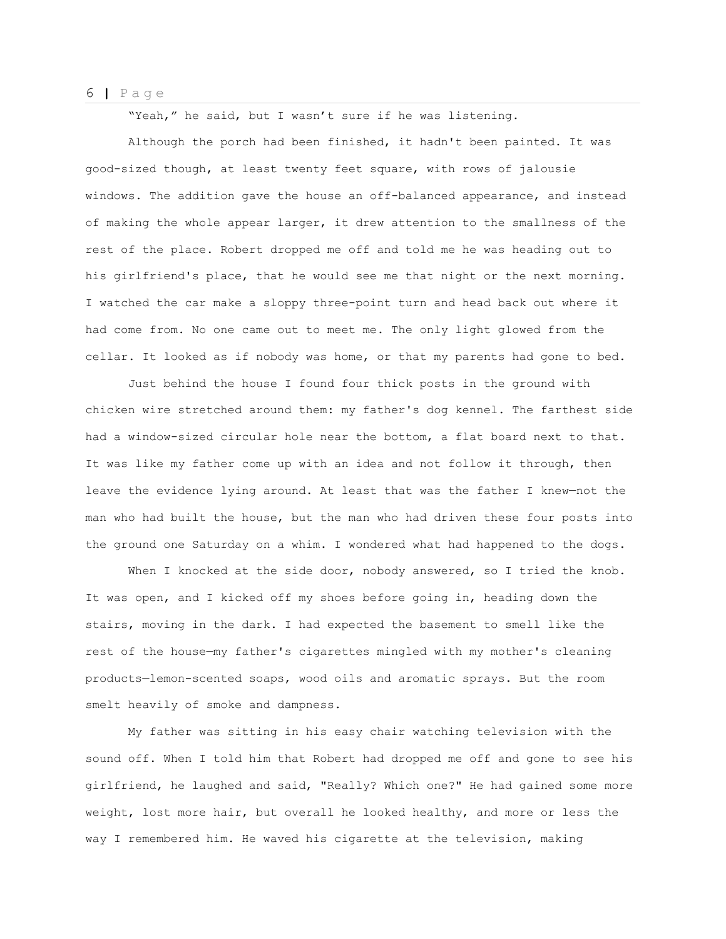"Yeah," he said, but I wasn't sure if he was listening.

Although the porch had been finished, it hadn't been painted. It was good-sized though, at least twenty feet square, with rows of jalousie windows. The addition gave the house an off-balanced appearance, and instead of making the whole appear larger, it drew attention to the smallness of the rest of the place. Robert dropped me off and told me he was heading out to his girlfriend's place, that he would see me that night or the next morning. I watched the car make a sloppy three-point turn and head back out where it had come from. No one came out to meet me. The only light glowed from the cellar. It looked as if nobody was home, or that my parents had gone to bed.

Just behind the house I found four thick posts in the ground with chicken wire stretched around them: my father's dog kennel. The farthest side had a window-sized circular hole near the bottom, a flat board next to that. It was like my father come up with an idea and not follow it through, then leave the evidence lying around. At least that was the father I knew—not the man who had built the house, but the man who had driven these four posts into the ground one Saturday on a whim. I wondered what had happened to the dogs.

When I knocked at the side door, nobody answered, so I tried the knob. It was open, and I kicked off my shoes before going in, heading down the stairs, moving in the dark. I had expected the basement to smell like the rest of the house—my father's cigarettes mingled with my mother's cleaning products—lemon-scented soaps, wood oils and aromatic sprays. But the room smelt heavily of smoke and dampness.

My father was sitting in his easy chair watching television with the sound off. When I told him that Robert had dropped me off and gone to see his girlfriend, he laughed and said, "Really? Which one?" He had gained some more weight, lost more hair, but overall he looked healthy, and more or less the way I remembered him. He waved his cigarette at the television, making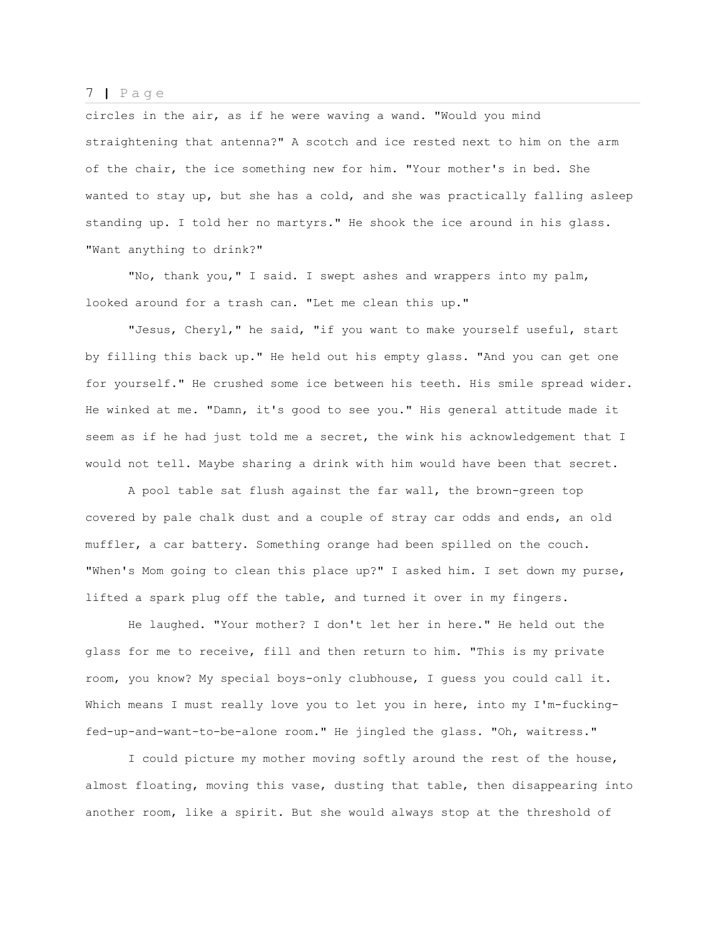circles in the air, as if he were waving a wand. "Would you mind straightening that antenna?" A scotch and ice rested next to him on the arm of the chair, the ice something new for him. "Your mother's in bed. She wanted to stay up, but she has a cold, and she was practically falling asleep standing up. I told her no martyrs." He shook the ice around in his glass. "Want anything to drink?"

"No, thank you," I said. I swept ashes and wrappers into my palm, looked around for a trash can. "Let me clean this up."

"Jesus, Cheryl," he said, "if you want to make yourself useful, start by filling this back up." He held out his empty glass. "And you can get one for yourself." He crushed some ice between his teeth. His smile spread wider. He winked at me. "Damn, it's good to see you." His general attitude made it seem as if he had just told me a secret, the wink his acknowledgement that I would not tell. Maybe sharing a drink with him would have been that secret.

A pool table sat flush against the far wall, the brown-green top covered by pale chalk dust and a couple of stray car odds and ends, an old muffler, a car battery. Something orange had been spilled on the couch. "When's Mom going to clean this place up?" I asked him. I set down my purse, lifted a spark plug off the table, and turned it over in my fingers.

He laughed. "Your mother? I don't let her in here." He held out the glass for me to receive, fill and then return to him. "This is my private room, you know? My special boys-only clubhouse, I guess you could call it. Which means I must really love you to let you in here, into my I'm-fuckingfed-up-and-want-to-be-alone room." He jingled the glass. "Oh, waitress."

I could picture my mother moving softly around the rest of the house, almost floating, moving this vase, dusting that table, then disappearing into another room, like a spirit. But she would always stop at the threshold of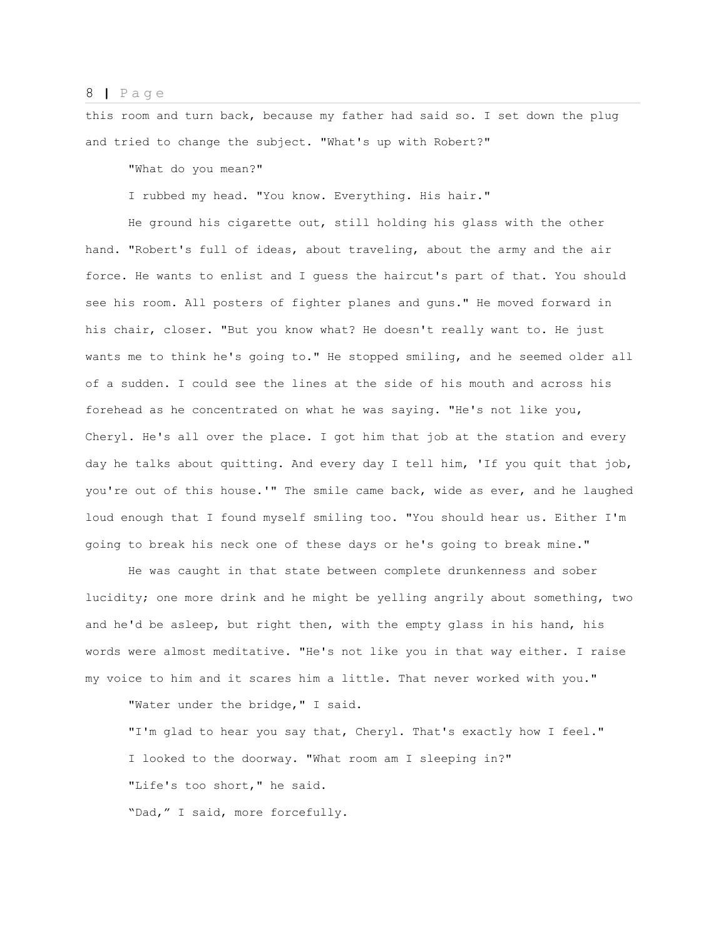this room and turn back, because my father had said so. I set down the plug and tried to change the subject. "What's up with Robert?"

"What do you mean?"

I rubbed my head. "You know. Everything. His hair."

He ground his cigarette out, still holding his glass with the other hand. "Robert's full of ideas, about traveling, about the army and the air force. He wants to enlist and I guess the haircut's part of that. You should see his room. All posters of fighter planes and guns." He moved forward in his chair, closer. "But you know what? He doesn't really want to. He just wants me to think he's going to." He stopped smiling, and he seemed older all of a sudden. I could see the lines at the side of his mouth and across his forehead as he concentrated on what he was saying. "He's not like you, Cheryl. He's all over the place. I got him that job at the station and every day he talks about quitting. And every day I tell him, 'If you quit that job, you're out of this house.'" The smile came back, wide as ever, and he laughed loud enough that I found myself smiling too. "You should hear us. Either I'm going to break his neck one of these days or he's going to break mine."

He was caught in that state between complete drunkenness and sober lucidity; one more drink and he might be yelling angrily about something, two and he'd be asleep, but right then, with the empty glass in his hand, his words were almost meditative. "He's not like you in that way either. I raise my voice to him and it scares him a little. That never worked with you."

"Water under the bridge," I said.

"I'm glad to hear you say that, Cheryl. That's exactly how I feel." I looked to the doorway. "What room am I sleeping in?" "Life's too short," he said. "Dad," I said, more forcefully.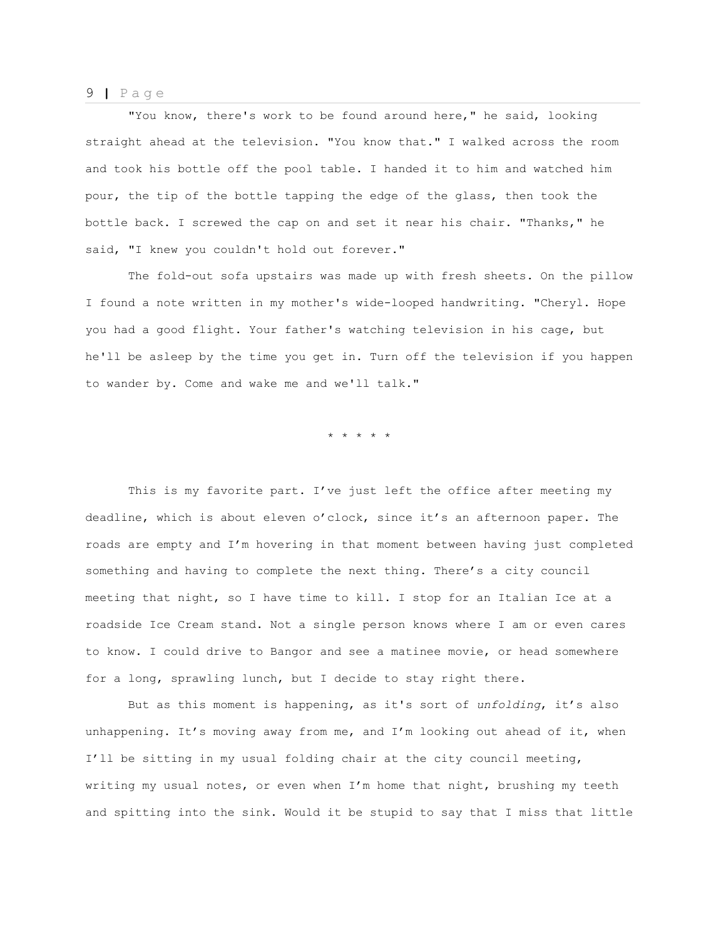"You know, there's work to be found around here," he said, looking straight ahead at the television. "You know that." I walked across the room and took his bottle off the pool table. I handed it to him and watched him pour, the tip of the bottle tapping the edge of the glass, then took the bottle back. I screwed the cap on and set it near his chair. "Thanks," he said, "I knew you couldn't hold out forever."

The fold-out sofa upstairs was made up with fresh sheets. On the pillow I found a note written in my mother's wide-looped handwriting. "Cheryl. Hope you had a good flight. Your father's watching television in his cage, but he'll be asleep by the time you get in. Turn off the television if you happen to wander by. Come and wake me and we'll talk."

\* \* \* \* \*

This is my favorite part. I've just left the office after meeting my deadline, which is about eleven o'clock, since it's an afternoon paper. The roads are empty and I'm hovering in that moment between having just completed something and having to complete the next thing. There's a city council meeting that night, so I have time to kill. I stop for an Italian Ice at a roadside Ice Cream stand. Not a single person knows where I am or even cares to know. I could drive to Bangor and see a matinee movie, or head somewhere for a long, sprawling lunch, but I decide to stay right there.

But as this moment is happening, as it's sort of *unfolding*, it's also unhappening. It's moving away from me, and I'm looking out ahead of it, when I'll be sitting in my usual folding chair at the city council meeting, writing my usual notes, or even when I'm home that night, brushing my teeth and spitting into the sink. Would it be stupid to say that I miss that little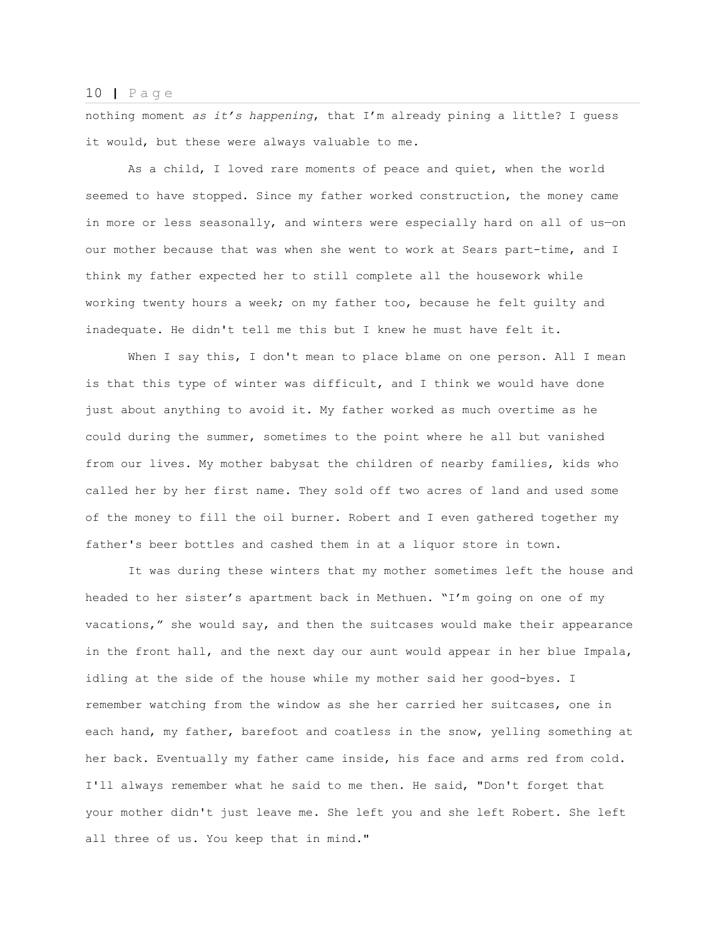nothing moment *as it's happening*, that I'm already pining a little? I guess it would, but these were always valuable to me.

As a child, I loved rare moments of peace and quiet, when the world seemed to have stopped. Since my father worked construction, the money came in more or less seasonally, and winters were especially hard on all of us—on our mother because that was when she went to work at Sears part-time, and I think my father expected her to still complete all the housework while working twenty hours a week; on my father too, because he felt guilty and inadequate. He didn't tell me this but I knew he must have felt it.

When I say this, I don't mean to place blame on one person. All I mean is that this type of winter was difficult, and I think we would have done just about anything to avoid it. My father worked as much overtime as he could during the summer, sometimes to the point where he all but vanished from our lives. My mother babysat the children of nearby families, kids who called her by her first name. They sold off two acres of land and used some of the money to fill the oil burner. Robert and I even gathered together my father's beer bottles and cashed them in at a liquor store in town.

It was during these winters that my mother sometimes left the house and headed to her sister's apartment back in Methuen. "I'm going on one of my vacations," she would say, and then the suitcases would make their appearance in the front hall, and the next day our aunt would appear in her blue Impala, idling at the side of the house while my mother said her good-byes. I remember watching from the window as she her carried her suitcases, one in each hand, my father, barefoot and coatless in the snow, yelling something at her back. Eventually my father came inside, his face and arms red from cold. I'll always remember what he said to me then. He said, "Don't forget that your mother didn't just leave me. She left you and she left Robert. She left all three of us. You keep that in mind."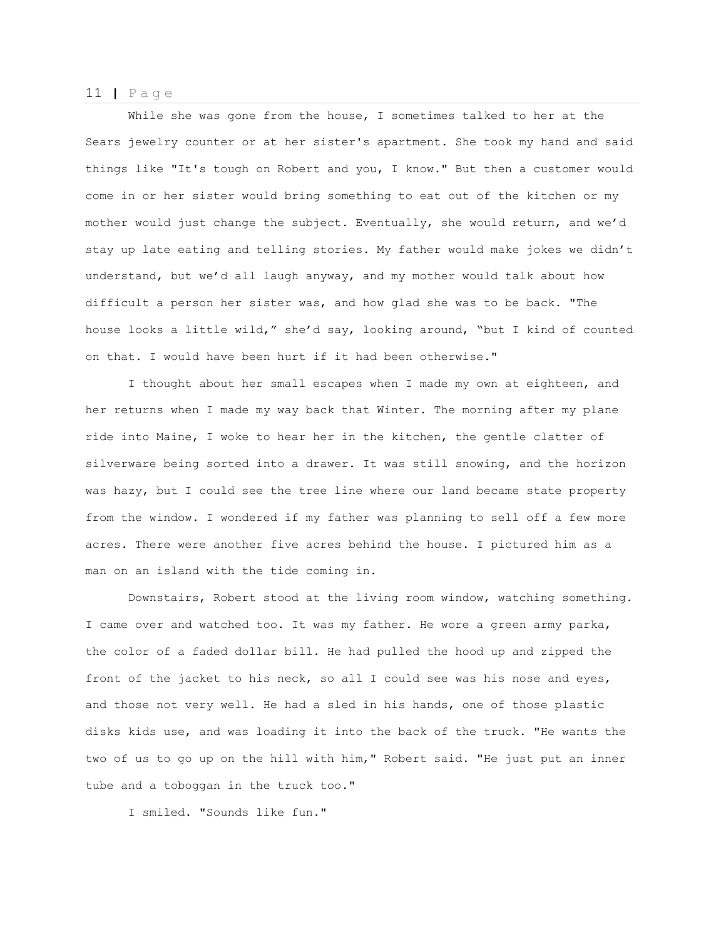While she was gone from the house, I sometimes talked to her at the Sears jewelry counter or at her sister's apartment. She took my hand and said things like "It's tough on Robert and you, I know." But then a customer would come in or her sister would bring something to eat out of the kitchen or my mother would just change the subject. Eventually, she would return, and we'd stay up late eating and telling stories. My father would make jokes we didn't understand, but we'd all laugh anyway, and my mother would talk about how difficult a person her sister was, and how glad she was to be back. "The house looks a little wild," she'd say, looking around, "but I kind of counted on that. I would have been hurt if it had been otherwise."

I thought about her small escapes when I made my own at eighteen, and her returns when I made my way back that Winter. The morning after my plane ride into Maine, I woke to hear her in the kitchen, the gentle clatter of silverware being sorted into a drawer. It was still snowing, and the horizon was hazy, but I could see the tree line where our land became state property from the window. I wondered if my father was planning to sell off a few more acres. There were another five acres behind the house. I pictured him as a man on an island with the tide coming in.

Downstairs, Robert stood at the living room window, watching something. I came over and watched too. It was my father. He wore a green army parka, the color of a faded dollar bill. He had pulled the hood up and zipped the front of the jacket to his neck, so all I could see was his nose and eyes, and those not very well. He had a sled in his hands, one of those plastic disks kids use, and was loading it into the back of the truck. "He wants the two of us to go up on the hill with him," Robert said. "He just put an inner tube and a toboggan in the truck too."

I smiled. "Sounds like fun."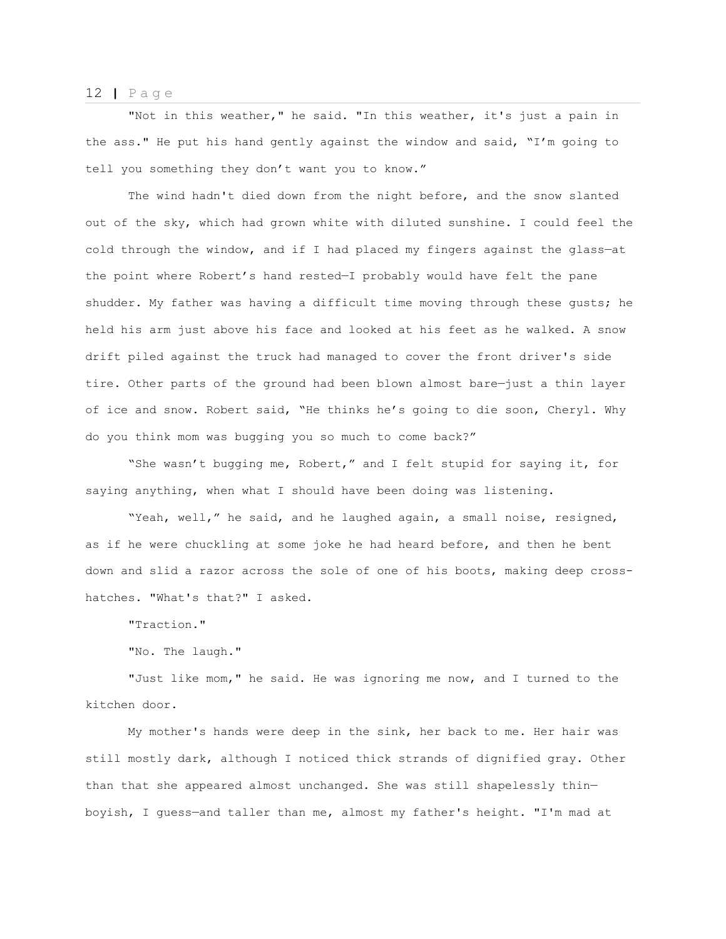"Not in this weather," he said. "In this weather, it's just a pain in the ass." He put his hand gently against the window and said, "I'm going to tell you something they don't want you to know."

The wind hadn't died down from the night before, and the snow slanted out of the sky, which had grown white with diluted sunshine. I could feel the cold through the window, and if I had placed my fingers against the glass—at the point where Robert's hand rested—I probably would have felt the pane shudder. My father was having a difficult time moving through these gusts; he held his arm just above his face and looked at his feet as he walked. A snow drift piled against the truck had managed to cover the front driver's side tire. Other parts of the ground had been blown almost bare—just a thin layer of ice and snow. Robert said, "He thinks he's going to die soon, Cheryl. Why do you think mom was bugging you so much to come back?"

"She wasn't bugging me, Robert," and I felt stupid for saying it, for saying anything, when what I should have been doing was listening.

"Yeah, well," he said, and he laughed again, a small noise, resigned, as if he were chuckling at some joke he had heard before, and then he bent down and slid a razor across the sole of one of his boots, making deep crosshatches. "What's that?" I asked.

"Traction."

"No. The laugh."

"Just like mom," he said. He was ignoring me now, and I turned to the kitchen door.

My mother's hands were deep in the sink, her back to me. Her hair was still mostly dark, although I noticed thick strands of dignified gray. Other than that she appeared almost unchanged. She was still shapelessly thin boyish, I guess—and taller than me, almost my father's height. "I'm mad at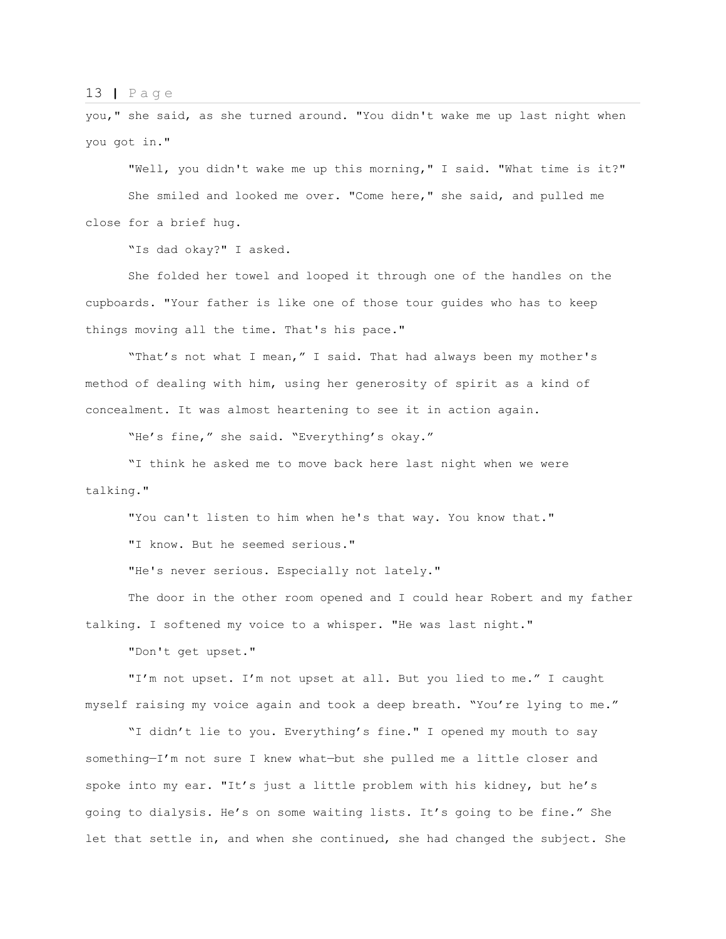you," she said, as she turned around. "You didn't wake me up last night when you got in."

"Well, you didn't wake me up this morning," I said. "What time is it?" She smiled and looked me over. "Come here," she said, and pulled me close for a brief hug.

"Is dad okay?" I asked.

She folded her towel and looped it through one of the handles on the cupboards. "Your father is like one of those tour guides who has to keep things moving all the time. That's his pace."

"That's not what I mean," I said. That had always been my mother's method of dealing with him, using her generosity of spirit as a kind of concealment. It was almost heartening to see it in action again.

"He's fine," she said. "Everything's okay."

"I think he asked me to move back here last night when we were talking."

"You can't listen to him when he's that way. You know that."

"I know. But he seemed serious."

"He's never serious. Especially not lately."

The door in the other room opened and I could hear Robert and my father talking. I softened my voice to a whisper. "He was last night."

"Don't get upset."

"I'm not upset. I'm not upset at all. But you lied to me." I caught myself raising my voice again and took a deep breath. "You're lying to me."

"I didn't lie to you. Everything's fine." I opened my mouth to say something—I'm not sure I knew what—but she pulled me a little closer and spoke into my ear. "It's just a little problem with his kidney, but he's going to dialysis. He's on some waiting lists. It's going to be fine." She let that settle in, and when she continued, she had changed the subject. She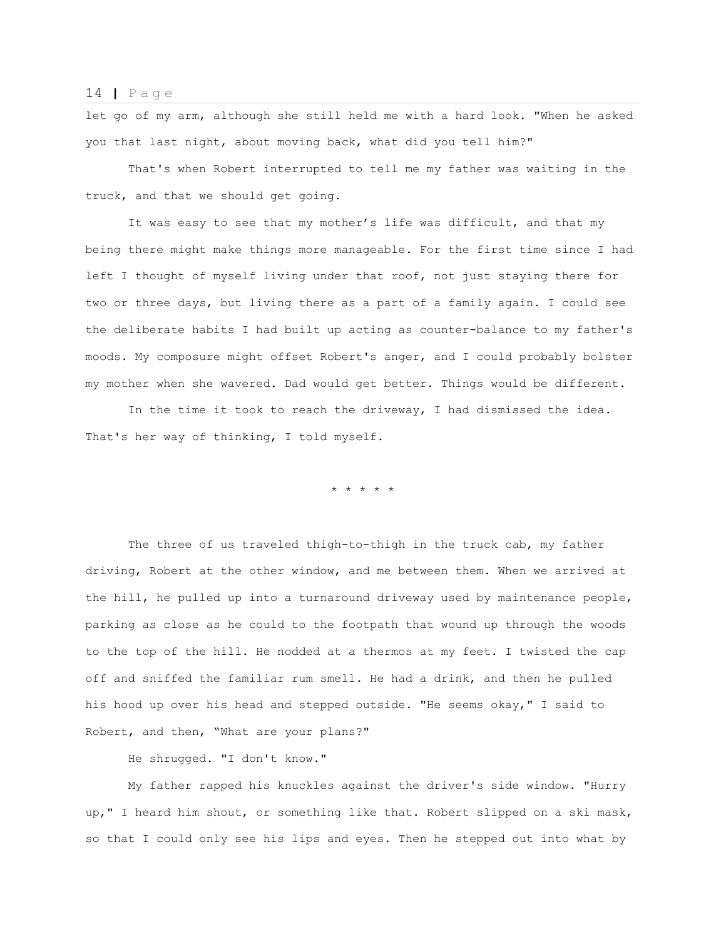let go of my arm, although she still held me with a hard look. "When he asked you that last night, about moving back, what did you tell him?"

That's when Robert interrupted to tell me my father was waiting in the truck, and that we should get going.

It was easy to see that my mother's life was difficult, and that my being there might make things more manageable. For the first time since I had left I thought of myself living under that roof, not just staying there for two or three days, but living there as a part of a family again. I could see the deliberate habits I had built up acting as counter-balance to my father's moods. My composure might offset Robert's anger, and I could probably bolster my mother when she wavered. Dad would get better. Things would be different.

 In the time it took to reach the driveway, I had dismissed the idea. That's her way of thinking, I told myself.

\* \* \* \* \*

The three of us traveled thigh-to-thigh in the truck cab, my father driving, Robert at the other window, and me between them. When we arrived at the hill, he pulled up into a turnaround driveway used by maintenance people, parking as close as he could to the footpath that wound up through the woods to the top of the hill. He nodded at a thermos at my feet. I twisted the cap off and sniffed the familiar rum smell. He had a drink, and then he pulled his hood up over his head and stepped outside. "He seems okay," I said to Robert, and then, "What are your plans?"

He shrugged. "I don't know."

My father rapped his knuckles against the driver's side window. "Hurry up," I heard him shout, or something like that. Robert slipped on a ski mask, so that I could only see his lips and eyes. Then he stepped out into what by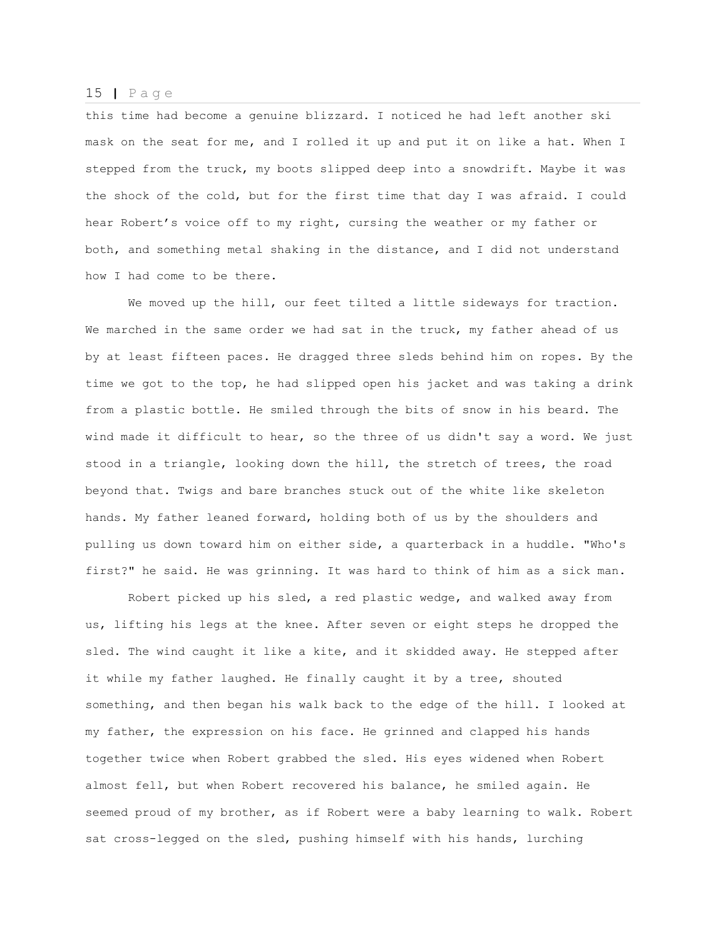this time had become a genuine blizzard. I noticed he had left another ski mask on the seat for me, and I rolled it up and put it on like a hat. When I stepped from the truck, my boots slipped deep into a snowdrift. Maybe it was the shock of the cold, but for the first time that day I was afraid. I could hear Robert's voice off to my right, cursing the weather or my father or both, and something metal shaking in the distance, and I did not understand how I had come to be there.

We moved up the hill, our feet tilted a little sideways for traction. We marched in the same order we had sat in the truck, my father ahead of us by at least fifteen paces. He dragged three sleds behind him on ropes. By the time we got to the top, he had slipped open his jacket and was taking a drink from a plastic bottle. He smiled through the bits of snow in his beard. The wind made it difficult to hear, so the three of us didn't say a word. We just stood in a triangle, looking down the hill, the stretch of trees, the road beyond that. Twigs and bare branches stuck out of the white like skeleton hands. My father leaned forward, holding both of us by the shoulders and pulling us down toward him on either side, a quarterback in a huddle. "Who's first?" he said. He was grinning. It was hard to think of him as a sick man.

Robert picked up his sled, a red plastic wedge, and walked away from us, lifting his legs at the knee. After seven or eight steps he dropped the sled. The wind caught it like a kite, and it skidded away. He stepped after it while my father laughed. He finally caught it by a tree, shouted something, and then began his walk back to the edge of the hill. I looked at my father, the expression on his face. He grinned and clapped his hands together twice when Robert grabbed the sled. His eyes widened when Robert almost fell, but when Robert recovered his balance, he smiled again. He seemed proud of my brother, as if Robert were a baby learning to walk. Robert sat cross-legged on the sled, pushing himself with his hands, lurching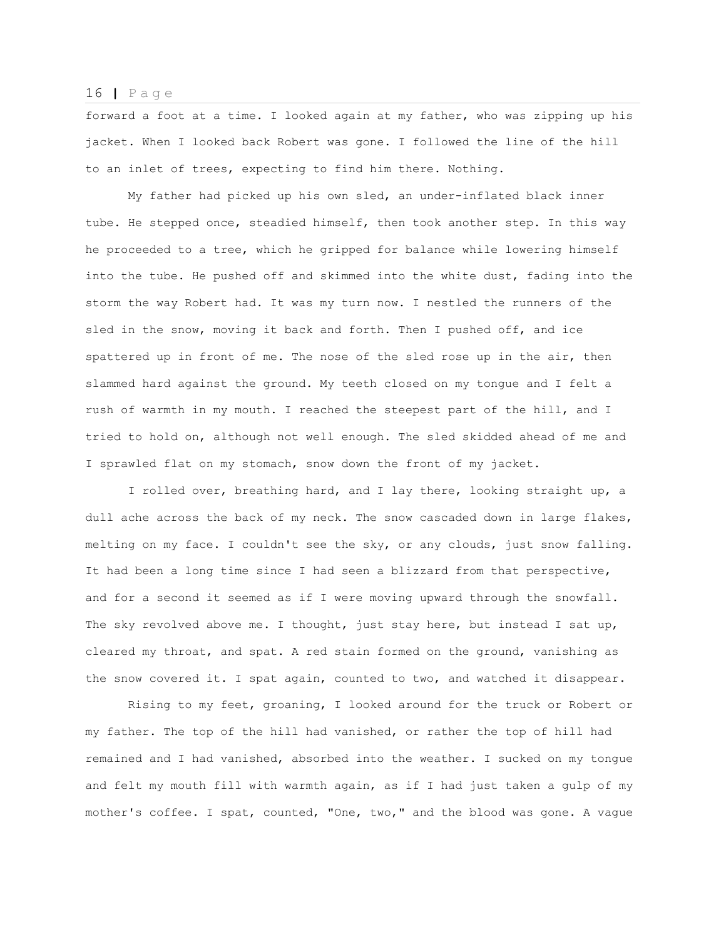forward a foot at a time. I looked again at my father, who was zipping up his jacket. When I looked back Robert was gone. I followed the line of the hill to an inlet of trees, expecting to find him there. Nothing.

My father had picked up his own sled, an under-inflated black inner tube. He stepped once, steadied himself, then took another step. In this way he proceeded to a tree, which he gripped for balance while lowering himself into the tube. He pushed off and skimmed into the white dust, fading into the storm the way Robert had. It was my turn now. I nestled the runners of the sled in the snow, moving it back and forth. Then I pushed off, and ice spattered up in front of me. The nose of the sled rose up in the air, then slammed hard against the ground. My teeth closed on my tongue and I felt a rush of warmth in my mouth. I reached the steepest part of the hill, and I tried to hold on, although not well enough. The sled skidded ahead of me and I sprawled flat on my stomach, snow down the front of my jacket.

I rolled over, breathing hard, and I lay there, looking straight up, a dull ache across the back of my neck. The snow cascaded down in large flakes, melting on my face. I couldn't see the sky, or any clouds, just snow falling. It had been a long time since I had seen a blizzard from that perspective, and for a second it seemed as if I were moving upward through the snowfall. The sky revolved above me. I thought, just stay here, but instead I sat up, cleared my throat, and spat. A red stain formed on the ground, vanishing as the snow covered it. I spat again, counted to two, and watched it disappear.

Rising to my feet, groaning, I looked around for the truck or Robert or my father. The top of the hill had vanished, or rather the top of hill had remained and I had vanished, absorbed into the weather. I sucked on my tongue and felt my mouth fill with warmth again, as if I had just taken a gulp of my mother's coffee. I spat, counted, "One, two," and the blood was gone. A vague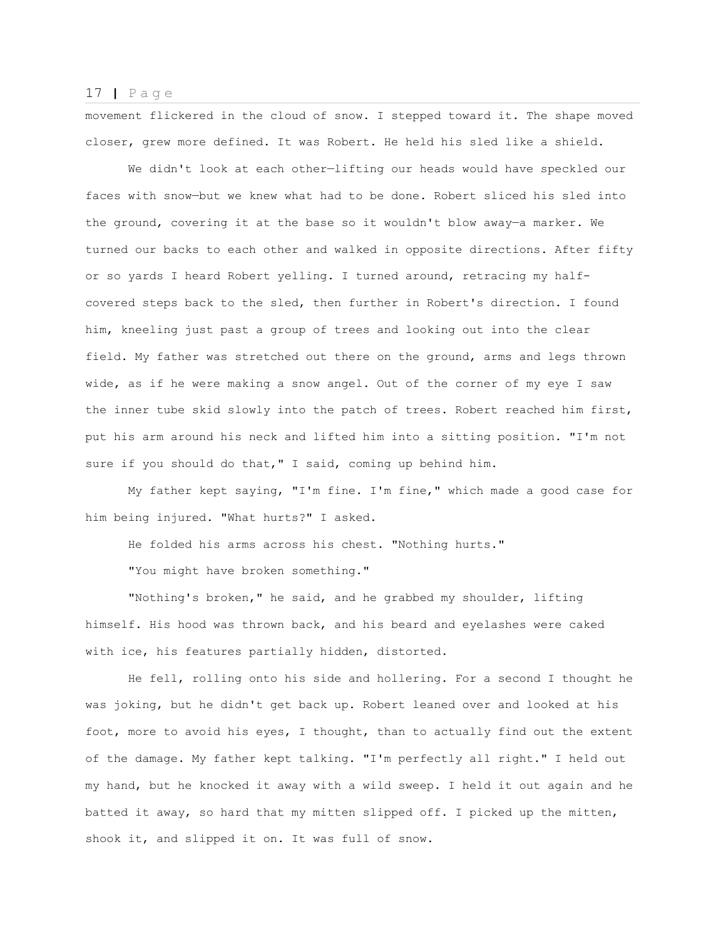movement flickered in the cloud of snow. I stepped toward it. The shape moved closer, grew more defined. It was Robert. He held his sled like a shield.

We didn't look at each other—lifting our heads would have speckled our faces with snow—but we knew what had to be done. Robert sliced his sled into the ground, covering it at the base so it wouldn't blow away—a marker. We turned our backs to each other and walked in opposite directions. After fifty or so yards I heard Robert yelling. I turned around, retracing my halfcovered steps back to the sled, then further in Robert's direction. I found him, kneeling just past a group of trees and looking out into the clear field. My father was stretched out there on the ground, arms and legs thrown wide, as if he were making a snow angel. Out of the corner of my eye I saw the inner tube skid slowly into the patch of trees. Robert reached him first, put his arm around his neck and lifted him into a sitting position. "I'm not sure if you should do that," I said, coming up behind him.

My father kept saying, "I'm fine. I'm fine," which made a good case for him being injured. "What hurts?" I asked.

He folded his arms across his chest. "Nothing hurts."

"You might have broken something."

"Nothing's broken," he said, and he grabbed my shoulder, lifting himself. His hood was thrown back, and his beard and eyelashes were caked with ice, his features partially hidden, distorted.

He fell, rolling onto his side and hollering. For a second I thought he was joking, but he didn't get back up. Robert leaned over and looked at his foot, more to avoid his eyes, I thought, than to actually find out the extent of the damage. My father kept talking. "I'm perfectly all right." I held out my hand, but he knocked it away with a wild sweep. I held it out again and he batted it away, so hard that my mitten slipped off. I picked up the mitten, shook it, and slipped it on. It was full of snow.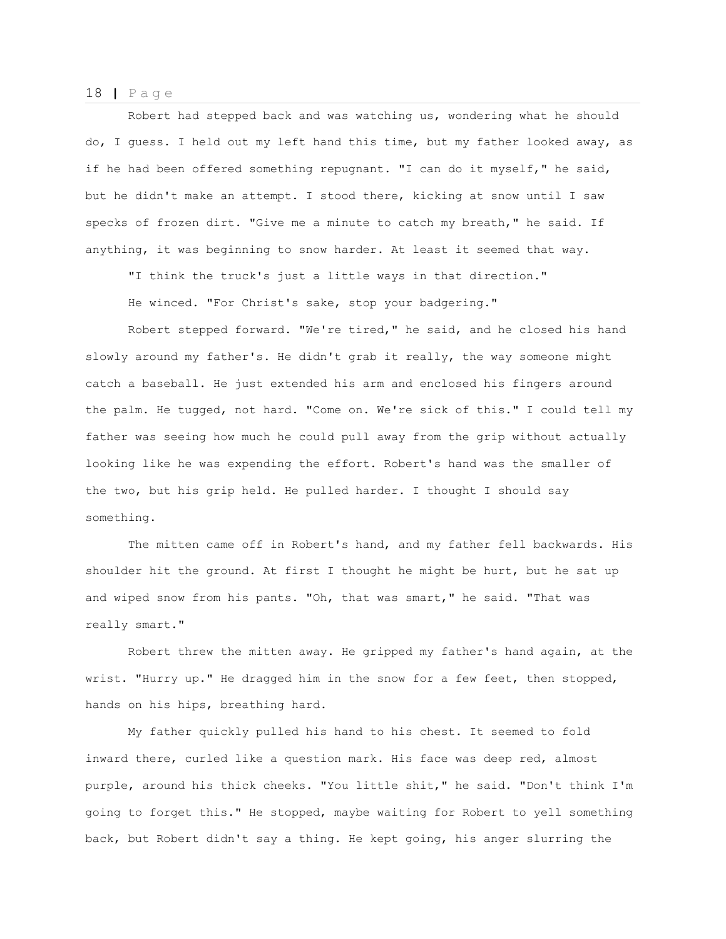Robert had stepped back and was watching us, wondering what he should do, I guess. I held out my left hand this time, but my father looked away, as if he had been offered something repugnant. "I can do it myself," he said, but he didn't make an attempt. I stood there, kicking at snow until I saw specks of frozen dirt. "Give me a minute to catch my breath," he said. If anything, it was beginning to snow harder. At least it seemed that way.

"I think the truck's just a little ways in that direction."

He winced. "For Christ's sake, stop your badgering."

Robert stepped forward. "We're tired," he said, and he closed his hand slowly around my father's. He didn't grab it really, the way someone might catch a baseball. He just extended his arm and enclosed his fingers around the palm. He tugged, not hard. "Come on. We're sick of this." I could tell my father was seeing how much he could pull away from the grip without actually looking like he was expending the effort. Robert's hand was the smaller of the two, but his grip held. He pulled harder. I thought I should say something.

The mitten came off in Robert's hand, and my father fell backwards. His shoulder hit the ground. At first I thought he might be hurt, but he sat up and wiped snow from his pants. "Oh, that was smart," he said. "That was really smart."

Robert threw the mitten away. He gripped my father's hand again, at the wrist. "Hurry up." He dragged him in the snow for a few feet, then stopped, hands on his hips, breathing hard.

My father quickly pulled his hand to his chest. It seemed to fold inward there, curled like a question mark. His face was deep red, almost purple, around his thick cheeks. "You little shit," he said. "Don't think I'm going to forget this." He stopped, maybe waiting for Robert to yell something back, but Robert didn't say a thing. He kept going, his anger slurring the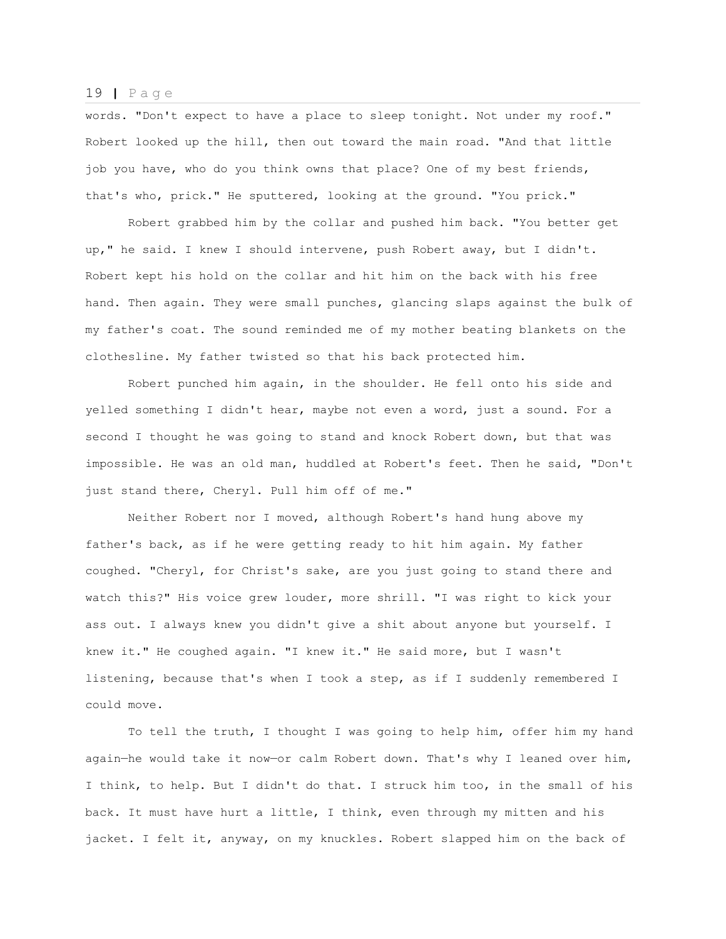words. "Don't expect to have a place to sleep tonight. Not under my roof." Robert looked up the hill, then out toward the main road. "And that little job you have, who do you think owns that place? One of my best friends, that's who, prick." He sputtered, looking at the ground. "You prick."

Robert grabbed him by the collar and pushed him back. "You better get up," he said. I knew I should intervene, push Robert away, but I didn't. Robert kept his hold on the collar and hit him on the back with his free hand. Then again. They were small punches, glancing slaps against the bulk of my father's coat. The sound reminded me of my mother beating blankets on the clothesline. My father twisted so that his back protected him.

Robert punched him again, in the shoulder. He fell onto his side and yelled something I didn't hear, maybe not even a word, just a sound. For a second I thought he was going to stand and knock Robert down, but that was impossible. He was an old man, huddled at Robert's feet. Then he said, "Don't just stand there, Cheryl. Pull him off of me."

Neither Robert nor I moved, although Robert's hand hung above my father's back, as if he were getting ready to hit him again. My father coughed. "Cheryl, for Christ's sake, are you just going to stand there and watch this?" His voice grew louder, more shrill. "I was right to kick your ass out. I always knew you didn't give a shit about anyone but yourself. I knew it." He coughed again. "I knew it." He said more, but I wasn't listening, because that's when I took a step, as if I suddenly remembered I could move.

To tell the truth, I thought I was going to help him, offer him my hand again—he would take it now—or calm Robert down. That's why I leaned over him, I think, to help. But I didn't do that. I struck him too, in the small of his back. It must have hurt a little, I think, even through my mitten and his jacket. I felt it, anyway, on my knuckles. Robert slapped him on the back of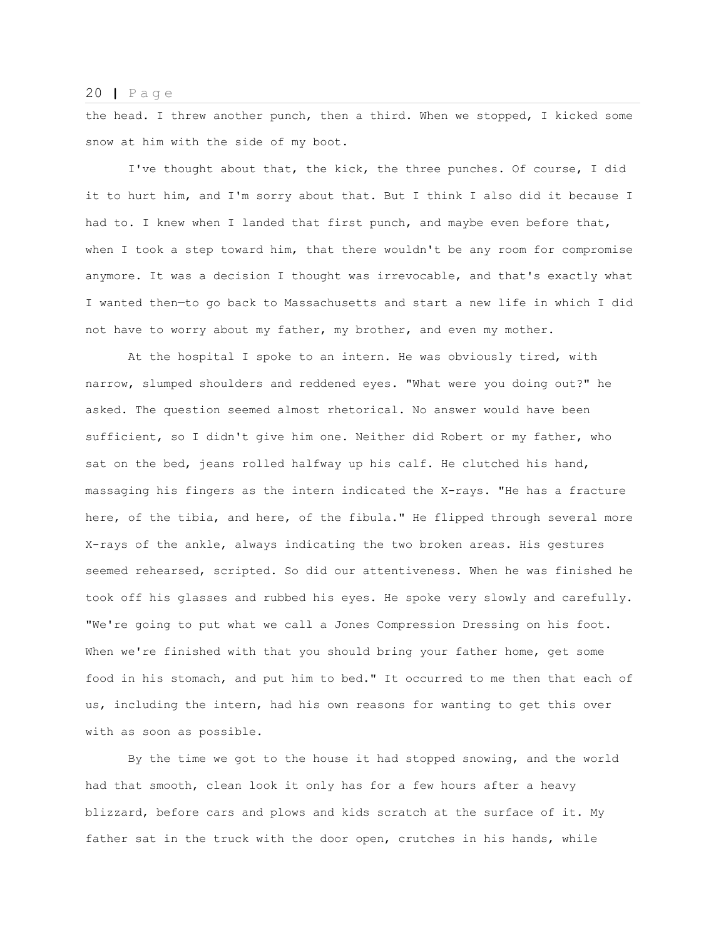the head. I threw another punch, then a third. When we stopped, I kicked some snow at him with the side of my boot.

I've thought about that, the kick, the three punches. Of course, I did it to hurt him, and I'm sorry about that. But I think I also did it because I had to. I knew when I landed that first punch, and maybe even before that, when I took a step toward him, that there wouldn't be any room for compromise anymore. It was a decision I thought was irrevocable, and that's exactly what I wanted then—to go back to Massachusetts and start a new life in which I did not have to worry about my father, my brother, and even my mother.

At the hospital I spoke to an intern. He was obviously tired, with narrow, slumped shoulders and reddened eyes. "What were you doing out?" he asked. The question seemed almost rhetorical. No answer would have been sufficient, so I didn't give him one. Neither did Robert or my father, who sat on the bed, jeans rolled halfway up his calf. He clutched his hand, massaging his fingers as the intern indicated the X-rays. "He has a fracture here, of the tibia, and here, of the fibula." He flipped through several more X-rays of the ankle, always indicating the two broken areas. His gestures seemed rehearsed, scripted. So did our attentiveness. When he was finished he took off his glasses and rubbed his eyes. He spoke very slowly and carefully. "We're going to put what we call a Jones Compression Dressing on his foot. When we're finished with that you should bring your father home, get some food in his stomach, and put him to bed." It occurred to me then that each of us, including the intern, had his own reasons for wanting to get this over with as soon as possible.

By the time we got to the house it had stopped snowing, and the world had that smooth, clean look it only has for a few hours after a heavy blizzard, before cars and plows and kids scratch at the surface of it. My father sat in the truck with the door open, crutches in his hands, while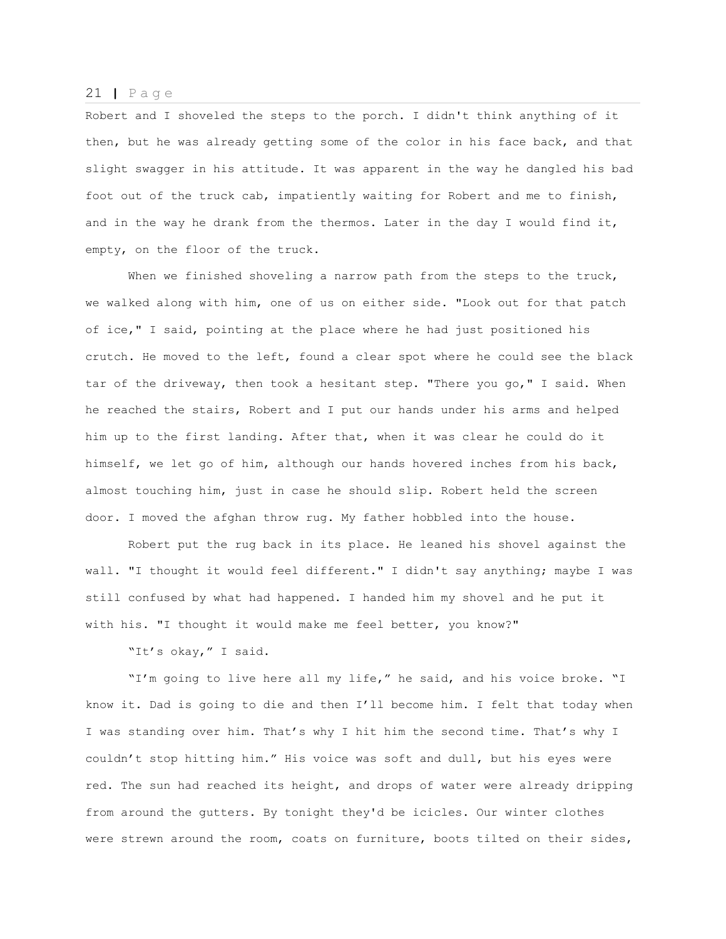Robert and I shoveled the steps to the porch. I didn't think anything of it then, but he was already getting some of the color in his face back, and that slight swagger in his attitude. It was apparent in the way he dangled his bad foot out of the truck cab, impatiently waiting for Robert and me to finish, and in the way he drank from the thermos. Later in the day I would find it, empty, on the floor of the truck.

When we finished shoveling a narrow path from the steps to the truck, we walked along with him, one of us on either side. "Look out for that patch of ice," I said, pointing at the place where he had just positioned his crutch. He moved to the left, found a clear spot where he could see the black tar of the driveway, then took a hesitant step. "There you go," I said. When he reached the stairs, Robert and I put our hands under his arms and helped him up to the first landing. After that, when it was clear he could do it himself, we let go of him, although our hands hovered inches from his back, almost touching him, just in case he should slip. Robert held the screen door. I moved the afghan throw rug. My father hobbled into the house.

Robert put the rug back in its place. He leaned his shovel against the wall. "I thought it would feel different." I didn't say anything; maybe I was still confused by what had happened. I handed him my shovel and he put it with his. "I thought it would make me feel better, you know?"

"It's okay," I said.

"I'm going to live here all my life," he said, and his voice broke. "I know it. Dad is going to die and then I'll become him. I felt that today when I was standing over him. That's why I hit him the second time. That's why I couldn't stop hitting him." His voice was soft and dull, but his eyes were red. The sun had reached its height, and drops of water were already dripping from around the gutters. By tonight they'd be icicles. Our winter clothes were strewn around the room, coats on furniture, boots tilted on their sides,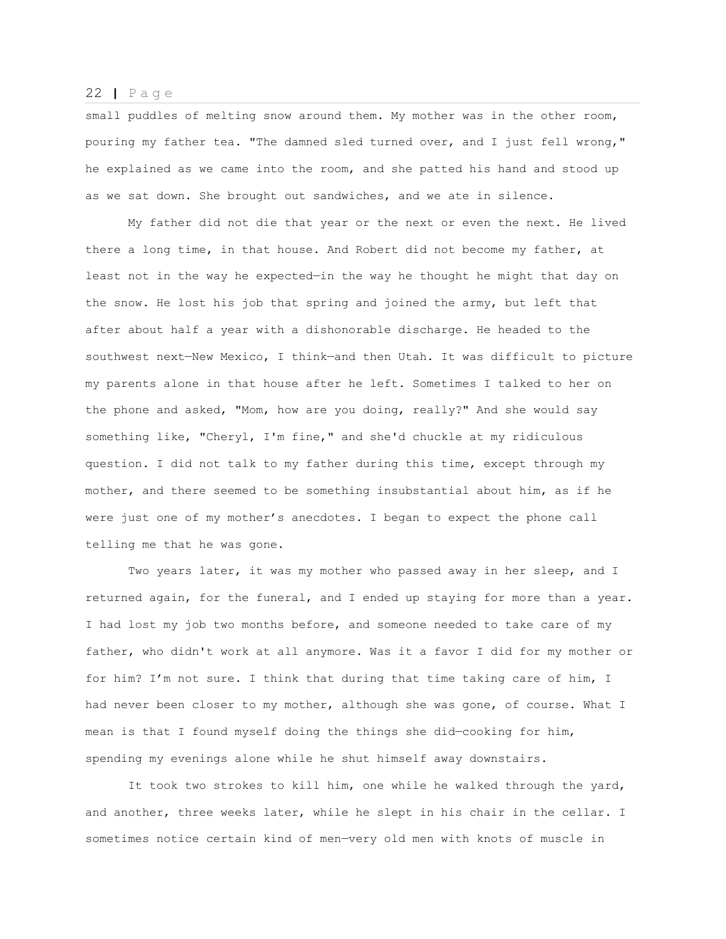small puddles of melting snow around them. My mother was in the other room, pouring my father tea. "The damned sled turned over, and I just fell wrong," he explained as we came into the room, and she patted his hand and stood up as we sat down. She brought out sandwiches, and we ate in silence.

My father did not die that year or the next or even the next. He lived there a long time, in that house. And Robert did not become my father, at least not in the way he expected—in the way he thought he might that day on the snow. He lost his job that spring and joined the army, but left that after about half a year with a dishonorable discharge. He headed to the southwest next—New Mexico, I think—and then Utah. It was difficult to picture my parents alone in that house after he left. Sometimes I talked to her on the phone and asked, "Mom, how are you doing, really?" And she would say something like, "Cheryl, I'm fine," and she'd chuckle at my ridiculous question. I did not talk to my father during this time, except through my mother, and there seemed to be something insubstantial about him, as if he were just one of my mother's anecdotes. I began to expect the phone call telling me that he was gone.

Two years later, it was my mother who passed away in her sleep, and I returned again, for the funeral, and I ended up staying for more than a year. I had lost my job two months before, and someone needed to take care of my father, who didn't work at all anymore. Was it a favor I did for my mother or for him? I'm not sure. I think that during that time taking care of him, I had never been closer to my mother, although she was gone, of course. What I mean is that I found myself doing the things she did—cooking for him, spending my evenings alone while he shut himself away downstairs.

It took two strokes to kill him, one while he walked through the yard, and another, three weeks later, while he slept in his chair in the cellar. I sometimes notice certain kind of men—very old men with knots of muscle in